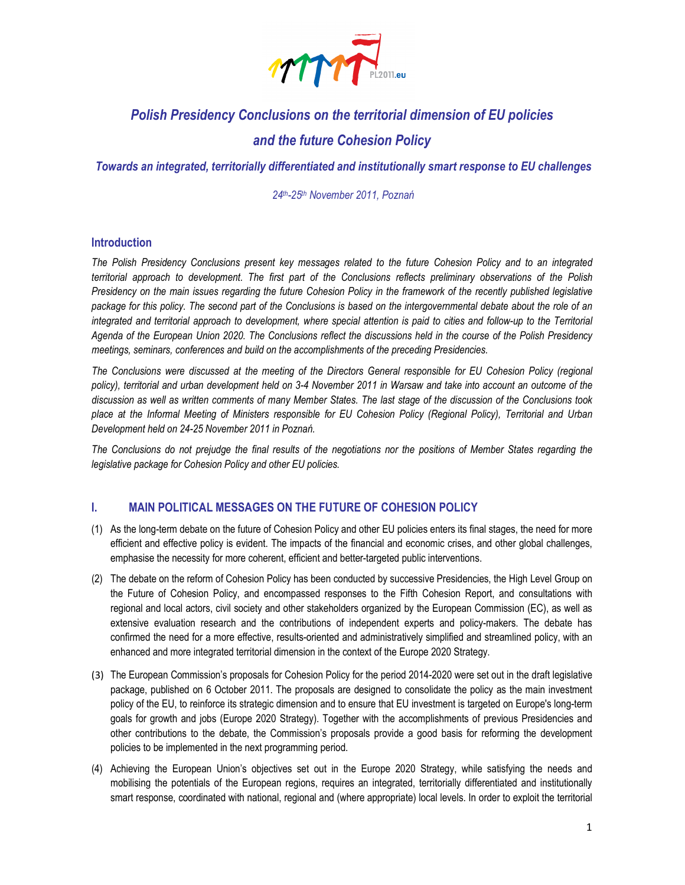

# Polish Presidency Conclusions on the territorial dimension of EU policies

## and the future Cohesion Policy

Towards an integrated, territorially differentiated and institutionally smart response to EU challenges

24th-25th November 2011, Poznań

#### Introduction

The Polish Presidency Conclusions present key messages related to the future Cohesion Policy and to an integrated territorial approach to development. The first part of the Conclusions reflects preliminary observations of the Polish Presidency on the main issues regarding the future Cohesion Policy in the framework of the recently published legislative package for this policy. The second part of the Conclusions is based on the intergovernmental debate about the role of an integrated and territorial approach to development, where special attention is paid to cities and follow-up to the Territorial Agenda of the European Union 2020. The Conclusions reflect the discussions held in the course of the Polish Presidency meetings, seminars, conferences and build on the accomplishments of the preceding Presidencies.

The Conclusions were discussed at the meeting of the Directors General responsible for EU Cohesion Policy (regional policy), territorial and urban development held on 3-4 November 2011 in Warsaw and take into account an outcome of the discussion as well as written comments of many Member States. The last stage of the discussion of the Conclusions took place at the Informal Meeting of Ministers responsible for EU Cohesion Policy (Regional Policy), Territorial and Urban Development held on 24-25 November 2011 in Poznań.

The Conclusions do not prejudge the final results of the negotiations nor the positions of Member States regarding the legislative package for Cohesion Policy and other EU policies.

#### I. MAIN POLITICAL MESSAGES ON THE FUTURE OF COHESION POLICY

- (1) As the long-term debate on the future of Cohesion Policy and other EU policies enters its final stages, the need for more efficient and effective policy is evident. The impacts of the financial and economic crises, and other global challenges, emphasise the necessity for more coherent, efficient and better-targeted public interventions.
- (2) The debate on the reform of Cohesion Policy has been conducted by successive Presidencies, the High Level Group on the Future of Cohesion Policy, and encompassed responses to the Fifth Cohesion Report, and consultations with regional and local actors, civil society and other stakeholders organized by the European Commission (EC), as well as extensive evaluation research and the contributions of independent experts and policy-makers. The debate has confirmed the need for a more effective, results-oriented and administratively simplified and streamlined policy, with an enhanced and more integrated territorial dimension in the context of the Europe 2020 Strategy.
- (3) The European Commission's proposals for Cohesion Policy for the period 2014-2020 were set out in the draft legislative package, published on 6 October 2011. The proposals are designed to consolidate the policy as the main investment policy of the EU, to reinforce its strategic dimension and to ensure that EU investment is targeted on Europe's long-term goals for growth and jobs (Europe 2020 Strategy). Together with the accomplishments of previous Presidencies and other contributions to the debate, the Commission's proposals provide a good basis for reforming the development policies to be implemented in the next programming period.
- (4) Achieving the European Union's objectives set out in the Europe 2020 Strategy, while satisfying the needs and mobilising the potentials of the European regions, requires an integrated, territorially differentiated and institutionally smart response, coordinated with national, regional and (where appropriate) local levels. In order to exploit the territorial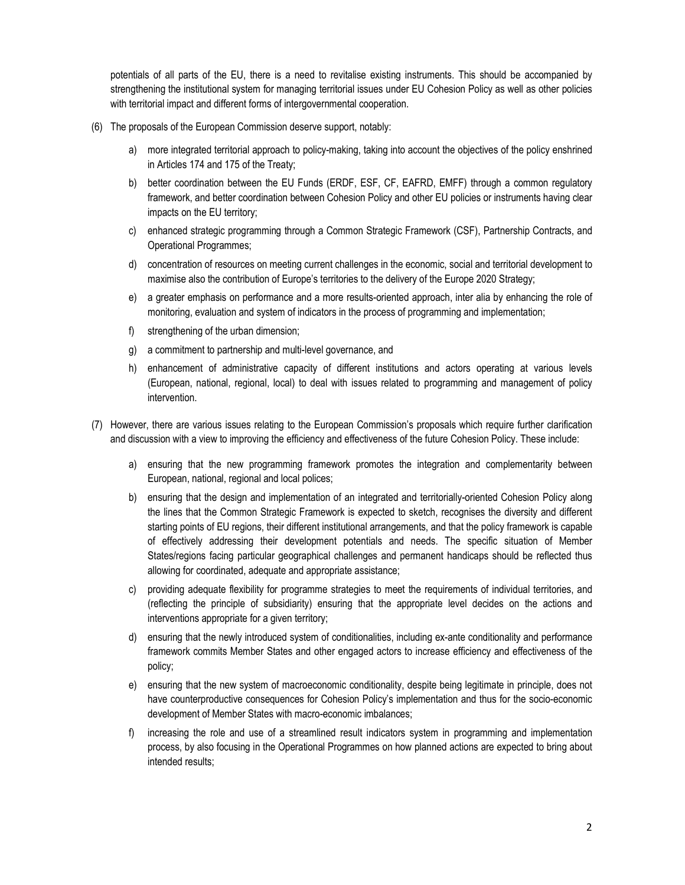potentials of all parts of the EU, there is a need to revitalise existing instruments. This should be accompanied by strengthening the institutional system for managing territorial issues under EU Cohesion Policy as well as other policies with territorial impact and different forms of intergovernmental cooperation.

- (6) The proposals of the European Commission deserve support, notably:
	- a) more integrated territorial approach to policy-making, taking into account the objectives of the policy enshrined in Articles 174 and 175 of the Treaty;
	- b) better coordination between the EU Funds (ERDF, ESF, CF, EAFRD, EMFF) through a common regulatory framework, and better coordination between Cohesion Policy and other EU policies or instruments having clear impacts on the EU territory;
	- c) enhanced strategic programming through a Common Strategic Framework (CSF), Partnership Contracts, and Operational Programmes;
	- d) concentration of resources on meeting current challenges in the economic, social and territorial development to maximise also the contribution of Europe's territories to the delivery of the Europe 2020 Strategy;
	- e) a greater emphasis on performance and a more results-oriented approach, inter alia by enhancing the role of monitoring, evaluation and system of indicators in the process of programming and implementation;
	- f) strengthening of the urban dimension;
	- g) a commitment to partnership and multi-level governance, and
	- h) enhancement of administrative capacity of different institutions and actors operating at various levels (European, national, regional, local) to deal with issues related to programming and management of policy intervention.
- (7) However, there are various issues relating to the European Commission's proposals which require further clarification and discussion with a view to improving the efficiency and effectiveness of the future Cohesion Policy. These include:
	- a) ensuring that the new programming framework promotes the integration and complementarity between European, national, regional and local polices;
	- b) ensuring that the design and implementation of an integrated and territorially-oriented Cohesion Policy along the lines that the Common Strategic Framework is expected to sketch, recognises the diversity and different starting points of EU regions, their different institutional arrangements, and that the policy framework is capable of effectively addressing their development potentials and needs. The specific situation of Member States/regions facing particular geographical challenges and permanent handicaps should be reflected thus allowing for coordinated, adequate and appropriate assistance;
	- c) providing adequate flexibility for programme strategies to meet the requirements of individual territories, and (reflecting the principle of subsidiarity) ensuring that the appropriate level decides on the actions and interventions appropriate for a given territory;
	- d) ensuring that the newly introduced system of conditionalities, including ex-ante conditionality and performance framework commits Member States and other engaged actors to increase efficiency and effectiveness of the policy;
	- e) ensuring that the new system of macroeconomic conditionality, despite being legitimate in principle, does not have counterproductive consequences for Cohesion Policy's implementation and thus for the socio-economic development of Member States with macro-economic imbalances;
	- f) increasing the role and use of a streamlined result indicators system in programming and implementation process, by also focusing in the Operational Programmes on how planned actions are expected to bring about intended results;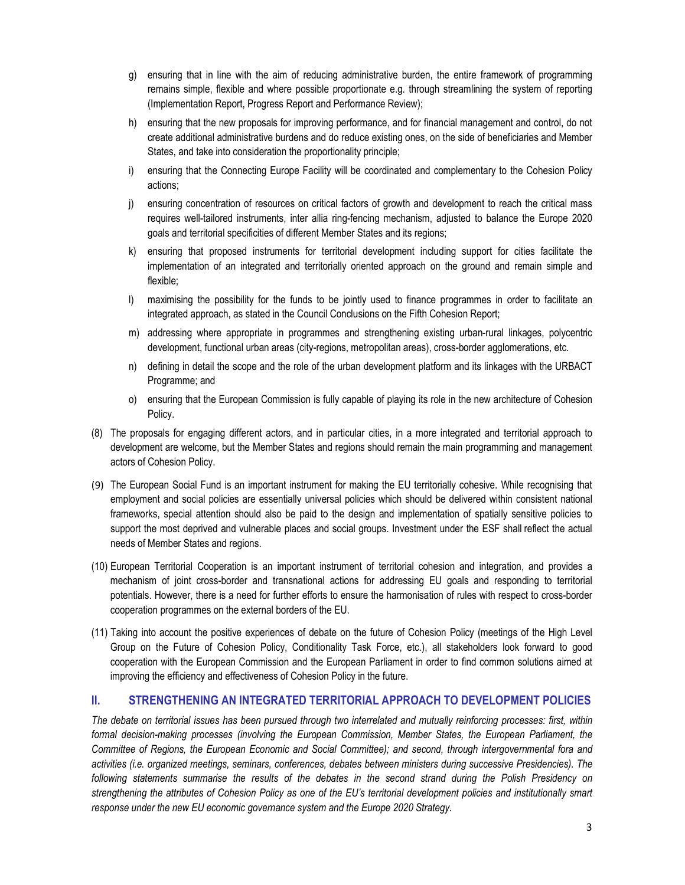- g) ensuring that in line with the aim of reducing administrative burden, the entire framework of programming remains simple, flexible and where possible proportionate e.g. through streamlining the system of reporting (Implementation Report, Progress Report and Performance Review);
- h) ensuring that the new proposals for improving performance, and for financial management and control, do not create additional administrative burdens and do reduce existing ones, on the side of beneficiaries and Member States, and take into consideration the proportionality principle;
- i) ensuring that the Connecting Europe Facility will be coordinated and complementary to the Cohesion Policy actions;
- j) ensuring concentration of resources on critical factors of growth and development to reach the critical mass requires well-tailored instruments, inter allia ring-fencing mechanism, adjusted to balance the Europe 2020 goals and territorial specificities of different Member States and its regions;
- k) ensuring that proposed instruments for territorial development including support for cities facilitate the implementation of an integrated and territorially oriented approach on the ground and remain simple and flexible;
- l) maximising the possibility for the funds to be jointly used to finance programmes in order to facilitate an integrated approach, as stated in the Council Conclusions on the Fifth Cohesion Report;
- m) addressing where appropriate in programmes and strengthening existing urban-rural linkages, polycentric development, functional urban areas (city-regions, metropolitan areas), cross-border agglomerations, etc.
- n) defining in detail the scope and the role of the urban development platform and its linkages with the URBACT Programme; and
- o) ensuring that the European Commission is fully capable of playing its role in the new architecture of Cohesion Policy.
- (8) The proposals for engaging different actors, and in particular cities, in a more integrated and territorial approach to development are welcome, but the Member States and regions should remain the main programming and management actors of Cohesion Policy.
- (9) The European Social Fund is an important instrument for making the EU territorially cohesive. While recognising that employment and social policies are essentially universal policies which should be delivered within consistent national frameworks, special attention should also be paid to the design and implementation of spatially sensitive policies to support the most deprived and vulnerable places and social groups. Investment under the ESF shall reflect the actual needs of Member States and regions.
- (10) European Territorial Cooperation is an important instrument of territorial cohesion and integration, and provides a mechanism of joint cross-border and transnational actions for addressing EU goals and responding to territorial potentials. However, there is a need for further efforts to ensure the harmonisation of rules with respect to cross-border cooperation programmes on the external borders of the EU.
- (11) Taking into account the positive experiences of debate on the future of Cohesion Policy (meetings of the High Level Group on the Future of Cohesion Policy, Conditionality Task Force, etc.), all stakeholders look forward to good cooperation with the European Commission and the European Parliament in order to find common solutions aimed at improving the efficiency and effectiveness of Cohesion Policy in the future.

#### II. STRENGTHENING AN INTEGRATED TERRITORIAL APPROACH TO DEVELOPMENT POLICIES

The debate on territorial issues has been pursued through two interrelated and mutually reinforcing processes: first, within formal decision-making processes (involving the European Commission, Member States, the European Parliament, the Committee of Regions, the European Economic and Social Committee); and second, through intergovernmental fora and activities (i.e. organized meetings, seminars, conferences, debates between ministers during successive Presidencies). The following statements summarise the results of the debates in the second strand during the Polish Presidency on strengthening the attributes of Cohesion Policy as one of the EU's territorial development policies and institutionally smart response under the new EU economic governance system and the Europe 2020 Strategy.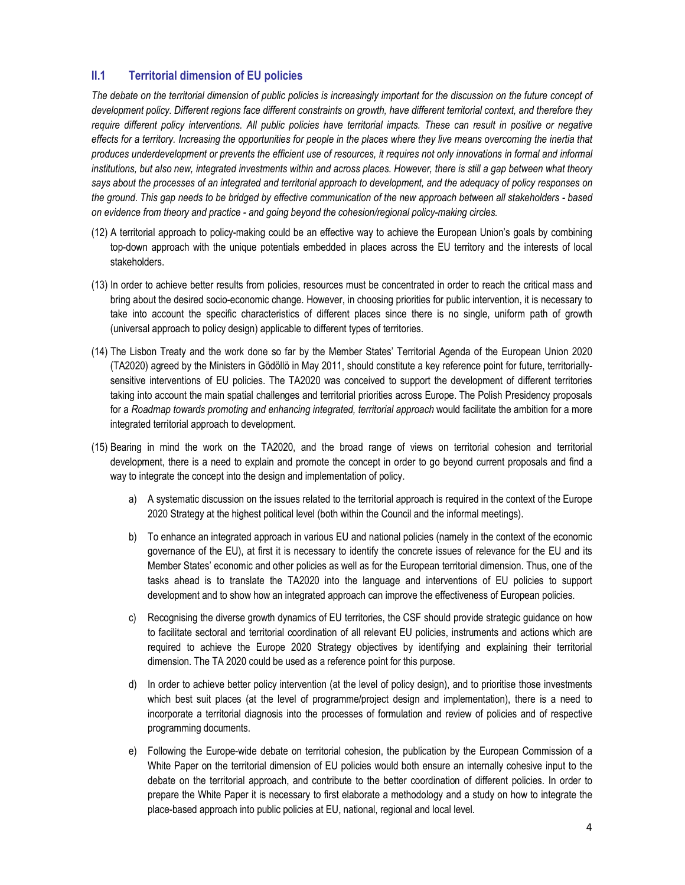### II.1 Territorial dimension of EU policies

The debate on the territorial dimension of public policies is increasingly important for the discussion on the future concept of development policy. Different regions face different constraints on growth, have different territorial context, and therefore they require different policy interventions. All public policies have territorial impacts. These can result in positive or negative effects for a territory. Increasing the opportunities for people in the places where they live means overcoming the inertia that produces underdevelopment or prevents the efficient use of resources, it requires not only innovations in formal and informal institutions, but also new, integrated investments within and across places. However, there is still a gap between what theory says about the processes of an integrated and territorial approach to development, and the adequacy of policy responses on the ground. This gap needs to be bridged by effective communication of the new approach between all stakeholders - based on evidence from theory and practice - and going beyond the cohesion/regional policy-making circles.

- (12) A territorial approach to policy-making could be an effective way to achieve the European Union's goals by combining top-down approach with the unique potentials embedded in places across the EU territory and the interests of local stakeholders.
- (13) In order to achieve better results from policies, resources must be concentrated in order to reach the critical mass and bring about the desired socio-economic change. However, in choosing priorities for public intervention, it is necessary to take into account the specific characteristics of different places since there is no single, uniform path of growth (universal approach to policy design) applicable to different types of territories.
- (14) The Lisbon Treaty and the work done so far by the Member States' Territorial Agenda of the European Union 2020 (TA2020) agreed by the Ministers in Gödöllö in May 2011, should constitute a key reference point for future, territoriallysensitive interventions of EU policies. The TA2020 was conceived to support the development of different territories taking into account the main spatial challenges and territorial priorities across Europe. The Polish Presidency proposals for a Roadmap towards promoting and enhancing integrated, territorial approach would facilitate the ambition for a more integrated territorial approach to development.
- (15) Bearing in mind the work on the TA2020, and the broad range of views on territorial cohesion and territorial development, there is a need to explain and promote the concept in order to go beyond current proposals and find a way to integrate the concept into the design and implementation of policy.
	- a) A systematic discussion on the issues related to the territorial approach is required in the context of the Europe 2020 Strategy at the highest political level (both within the Council and the informal meetings).
	- b) To enhance an integrated approach in various EU and national policies (namely in the context of the economic governance of the EU), at first it is necessary to identify the concrete issues of relevance for the EU and its Member States' economic and other policies as well as for the European territorial dimension. Thus, one of the tasks ahead is to translate the TA2020 into the language and interventions of EU policies to support development and to show how an integrated approach can improve the effectiveness of European policies.
	- c) Recognising the diverse growth dynamics of EU territories, the CSF should provide strategic guidance on how to facilitate sectoral and territorial coordination of all relevant EU policies, instruments and actions which are required to achieve the Europe 2020 Strategy objectives by identifying and explaining their territorial dimension. The TA 2020 could be used as a reference point for this purpose.
	- d) In order to achieve better policy intervention (at the level of policy design), and to prioritise those investments which best suit places (at the level of programme/project design and implementation), there is a need to incorporate a territorial diagnosis into the processes of formulation and review of policies and of respective programming documents.
	- e) Following the Europe-wide debate on territorial cohesion, the publication by the European Commission of a White Paper on the territorial dimension of EU policies would both ensure an internally cohesive input to the debate on the territorial approach, and contribute to the better coordination of different policies. In order to prepare the White Paper it is necessary to first elaborate a methodology and a study on how to integrate the place-based approach into public policies at EU, national, regional and local level.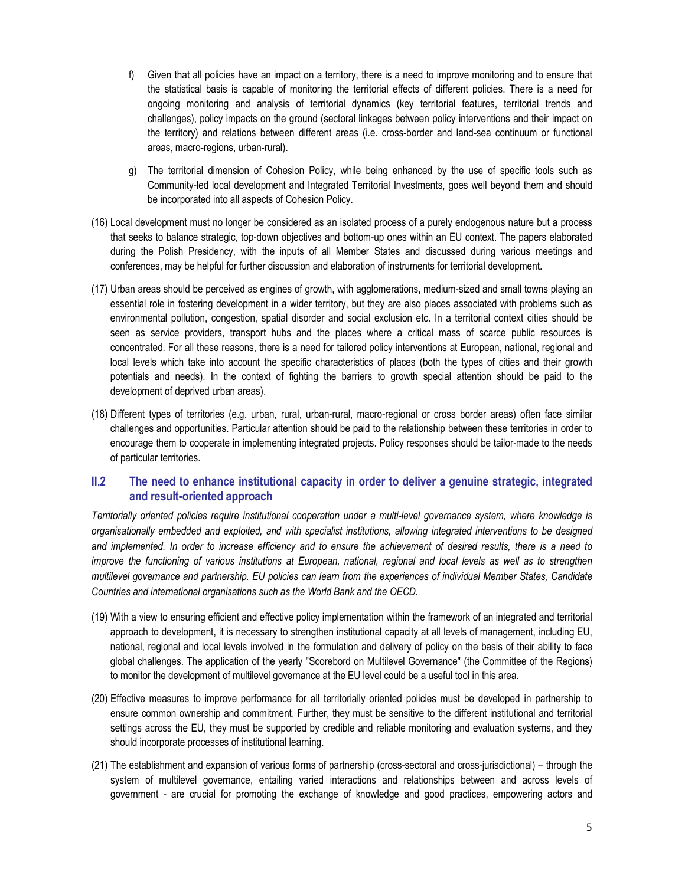- f) Given that all policies have an impact on a territory, there is a need to improve monitoring and to ensure that the statistical basis is capable of monitoring the territorial effects of different policies. There is a need for ongoing monitoring and analysis of territorial dynamics (key territorial features, territorial trends and challenges), policy impacts on the ground (sectoral linkages between policy interventions and their impact on the territory) and relations between different areas (i.e. cross-border and land-sea continuum or functional areas, macro-regions, urban-rural).
- g) The territorial dimension of Cohesion Policy, while being enhanced by the use of specific tools such as Community-led local development and Integrated Territorial Investments, goes well beyond them and should be incorporated into all aspects of Cohesion Policy.
- (16) Local development must no longer be considered as an isolated process of a purely endogenous nature but a process that seeks to balance strategic, top-down objectives and bottom-up ones within an EU context. The papers elaborated during the Polish Presidency, with the inputs of all Member States and discussed during various meetings and conferences, may be helpful for further discussion and elaboration of instruments for territorial development.
- (17) Urban areas should be perceived as engines of growth, with agglomerations, medium-sized and small towns playing an essential role in fostering development in a wider territory, but they are also places associated with problems such as environmental pollution, congestion, spatial disorder and social exclusion etc. In a territorial context cities should be seen as service providers, transport hubs and the places where a critical mass of scarce public resources is concentrated. For all these reasons, there is a need for tailored policy interventions at European, national, regional and local levels which take into account the specific characteristics of places (both the types of cities and their growth potentials and needs). In the context of fighting the barriers to growth special attention should be paid to the development of deprived urban areas).
- (18) Different types of territories (e.g. urban, rural, urban-rural, macro-regional or cross border areas) often face similar challenges and opportunities. Particular attention should be paid to the relationship between these territories in order to encourage them to cooperate in implementing integrated projects. Policy responses should be tailor-made to the needs of particular territories.

### II.2 The need to enhance institutional capacity in order to deliver a genuine strategic, integrated and result-oriented approach

Territorially oriented policies require institutional cooperation under a multi-level governance system, where knowledge is organisationally embedded and exploited, and with specialist institutions, allowing integrated interventions to be designed and implemented. In order to increase efficiency and to ensure the achievement of desired results, there is a need to improve the functioning of various institutions at European, national, regional and local levels as well as to strengthen multilevel governance and partnership. EU policies can learn from the experiences of individual Member States, Candidate Countries and international organisations such as the World Bank and the OECD.

- (19) With a view to ensuring efficient and effective policy implementation within the framework of an integrated and territorial approach to development, it is necessary to strengthen institutional capacity at all levels of management, including EU, national, regional and local levels involved in the formulation and delivery of policy on the basis of their ability to face global challenges. The application of the yearly "Scorebord on Multilevel Governance" (the Committee of the Regions) to monitor the development of multilevel governance at the EU level could be a useful tool in this area.
- (20) Effective measures to improve performance for all territorially oriented policies must be developed in partnership to ensure common ownership and commitment. Further, they must be sensitive to the different institutional and territorial settings across the EU, they must be supported by credible and reliable monitoring and evaluation systems, and they should incorporate processes of institutional learning.
- (21) The establishment and expansion of various forms of partnership (cross-sectoral and cross-jurisdictional) through the system of multilevel governance, entailing varied interactions and relationships between and across levels of government - are crucial for promoting the exchange of knowledge and good practices, empowering actors and